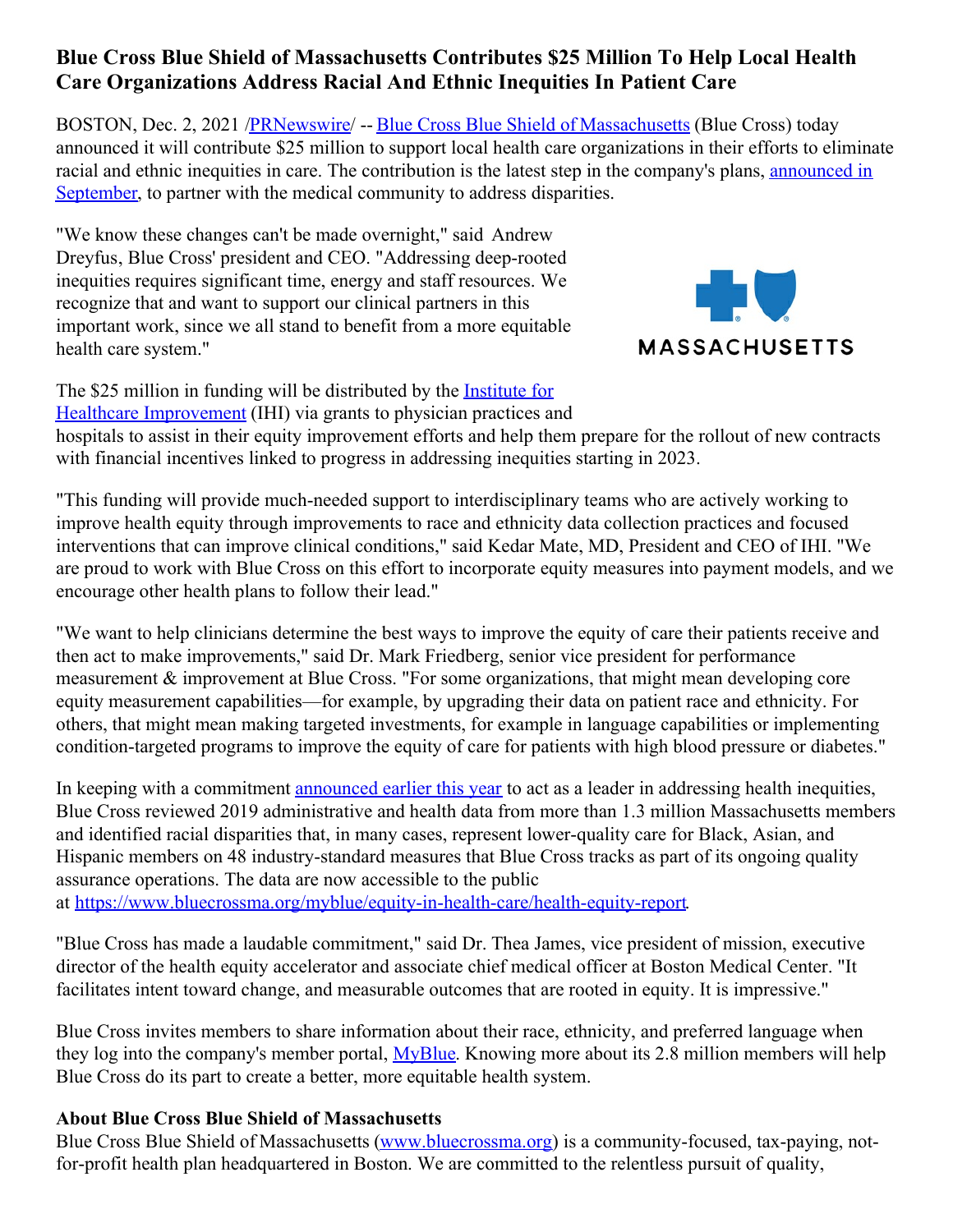## **Blue Cross Blue Shield of Massachusetts Contributes \$25 Million To Help Local Health Care Organizations Address Racial And Ethnic Inequities In Patient Care**

BOSTON, Dec. 2, 2021 [/PRNewswire](http://www.prnewswire.com/)/ -- Blue Cross Blue Shield of [Massachusetts](https://c212.net/c/link/?t=0&l=en&o=3377128-1&h=1714662402&u=http%3A%2F%2Fwww.bluecrossma.com%2F%3Ffrom%3DBWHomeHeaderBanner&a=Blue+Cross+Blue+Shield+of+Massachusetts) (Blue Cross) today announced it will contribute \$25 million to support local health care organizations in their efforts to eliminate racial and ethnic inequities in care. The [contribution](https://c212.net/c/link/?t=0&l=en&o=3377128-1&h=1591303272&u=https%3A%2F%2Fnewsroom.bluecrossma.com%2F2021-09-23-Blue-Cross-Blue-Shield-of-Massachusetts-Becomes-First-Health-Plan-in-Market-to-Incorporate-Equity-Measures-Into-Its-Payment-Models&a=announced+in+September) is the latest step in the company's plans, announced in September, to partner with the medical community to address disparities.

"We know these changes can't be made overnight," said Andrew Dreyfus, Blue Cross' president and CEO. "Addressing deep-rooted inequities requires significant time, energy and staff resources. We recognize that and want to support our clinical partners in this important work, since we all stand to benefit from a more equitable health care system."



The \$25 million in funding will be distributed by the **Institute for** Healthcare [Improvement](https://c212.net/c/link/?t=0&l=en&o=3377128-1&h=3353656607&u=http%3A%2F%2Fwww.ihi.org%2F&a=Institute+for+Healthcare+Improvement) (IHI) via grants to physician practices and hospitals to assist in their equity improvement efforts and help them prepare for the rollout of new contracts with financial incentives linked to progress in addressing inequities starting in 2023.

"This funding will provide much-needed support to interdisciplinary teams who are actively working to improve health equity through improvements to race and ethnicity data collection practices and focused interventions that can improve clinical conditions," said Kedar Mate, MD, President and CEO of IHI. "We are proud to work with Blue Cross on this effort to incorporate equity measures into payment models, and we encourage other health plans to follow their lead."

"We want to help clinicians determine the best ways to improve the equity of care their patients receive and then act to make improvements," said Dr. Mark Friedberg, senior vice president for performance measurement & improvement at Blue Cross. "For some organizations, that might mean developing core equity measurement capabilities—for example, by upgrading their data on patient race and ethnicity. For others, that might mean making targeted investments, for example in language capabilities or implementing condition-targeted programs to improve the equity of care for patients with high blood pressure or diabetes."

In keeping with a commitment [announced](https://c212.net/c/link/?t=0&l=en&o=3377128-1&h=3756910908&u=https%3A%2F%2Fc212.net%2Fc%2Flink%2F%3Ft%3D0%26l%3Den%26o%3D3300843-1%26h%3D253075274%26u%3Dhttps%253A%252F%252Fnewsroom.bluecrossma.com%252F2021-02-03-Blue-Cross-Blue-Shield-of-Massachusetts-Announces-Bold-Plan-to-Address-Health-Inequities-and-Racial-Justice%26a%3Dannounced%2Bearlier%2Bthis%2Byear&a=announced+earlier+this+year) earlier this year to act as a leader in addressing health inequities, Blue Cross reviewed 2019 administrative and health data from more than 1.3 million Massachusetts members and identified racial disparities that, in many cases, represent lower-quality care for Black, Asian, and Hispanic members on 48 industry-standard measures that Blue Cross tracks as part of its ongoing quality assurance operations. The data are now accessible to the public at [https://www.bluecrossma.org/myblue/equity-in-health-care/health-equity-report](https://c212.net/c/link/?t=0&l=en&o=3377128-1&h=306517090&u=https%3A%2F%2Fc212.net%2Fc%2Flink%2F%3Ft%3D0%26l%3Den%26o%3D3300843-1%26h%3D3560073802%26u%3Dhttps%253A%252F%252Fwww.bluecrossma.org%252Fmyblue%252Fequity-in-health-care%252Fhealth-equity-report%26a%3Dhttps%253A%252F%252Fwww.bluecrossma.org%252Fmyblue%252Fequity-in-health-care%252Fhealth-equity-report&a=https%3A%2F%2Fwww.bluecrossma.org%2Fmyblue%2Fequity-in-health-care%2Fhealth-equity-report).

"Blue Cross has made a laudable commitment," said Dr. Thea James, vice president of mission, executive director of the health equity accelerator and associate chief medical officer at Boston Medical Center. "It facilitates intent toward change, and measurable outcomes that are rooted in equity. It is impressive."

Blue Cross invites members to share information about their race, ethnicity, and preferred language when they log into the company's member portal, [MyBlue](https://c212.net/c/link/?t=0&l=en&o=3377128-1&h=1033653507&u=https%3A%2F%2Fc212.net%2Fc%2Flink%2F%3Ft%3D0%26l%3Den%26o%3D3300843-1%26h%3D2181628511%26u%3Dhttps%253A%252F%252Fmember.bluecrossma.com%252Flogin%26a%3DMyBlue&a=MyBlue). Knowing more about its 2.8 million members will help Blue Cross do its part to create a better, more equitable health system.

## **About Blue Cross Blue Shield of Massachusetts**

Blue Cross Blue Shield of Massachusetts [\(www.bluecrossma.org](https://c212.net/c/link/?t=0&l=en&o=3377128-1&h=1653639973&u=http%3A%2F%2Fwww.bluecrossma.org%2F&a=www.bluecrossma.org)) is a community-focused, tax-paying, notfor-profit health plan headquartered in Boston. We are committed to the relentless pursuit of quality,